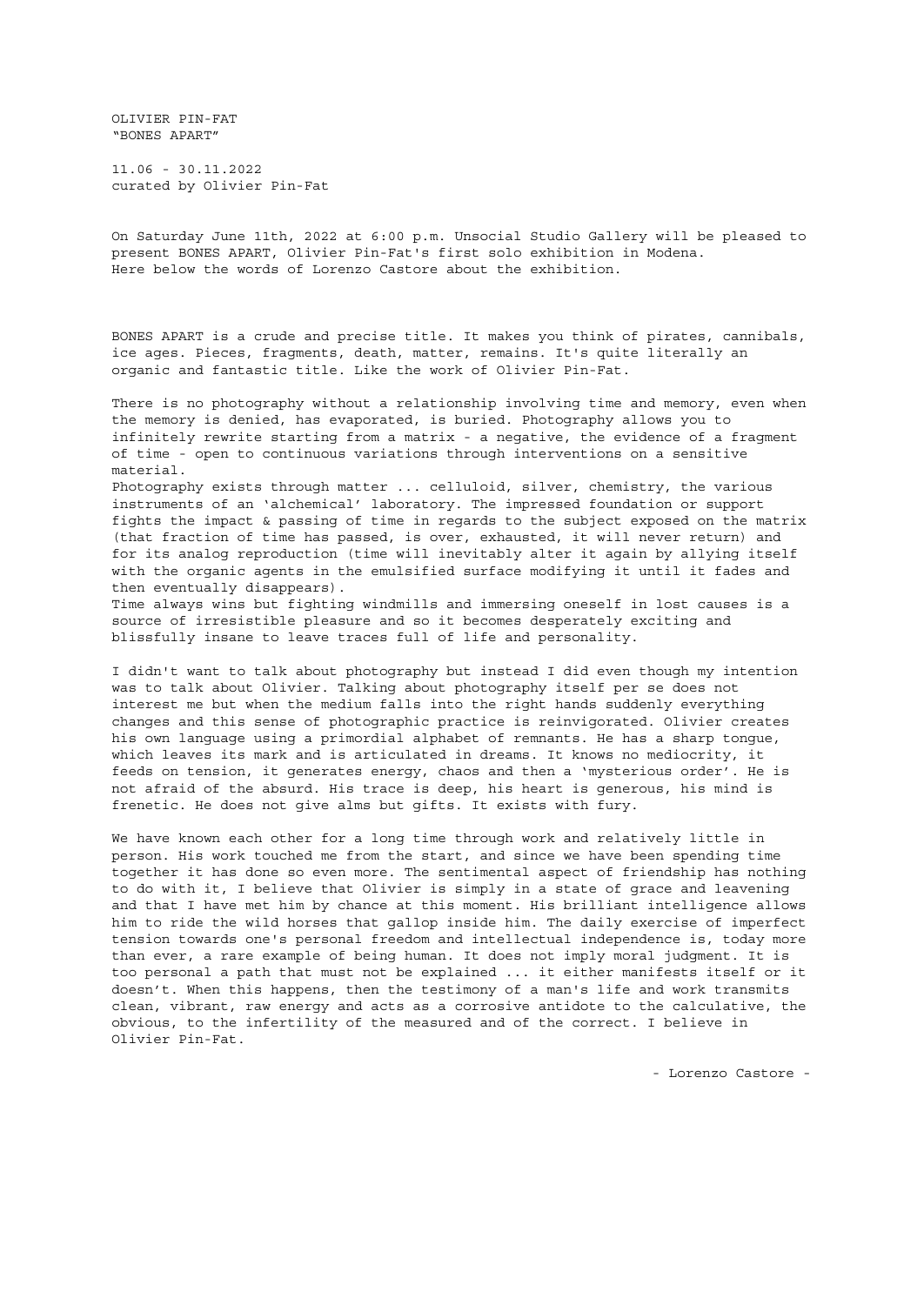OLIVIER PIN-FAT "BONES APART"

11.06 - 30.11.2022 curated by Olivier Pin-Fat

On Saturday June 11th, 2022 at 6:00 p.m. Unsocial Studio Gallery will be pleased to present BONES APART, Olivier Pin-Fat's first solo exhibition in Modena. Here below the words of Lorenzo Castore about the exhibition.

BONES APART is a crude and precise title. It makes you think of pirates, cannibals, ice ages. Pieces, fragments, death, matter, remains. It's quite literally an organic and fantastic title. Like the work of Olivier Pin-Fat.

There is no photography without a relationship involving time and memory, even when the memory is denied, has evaporated, is buried. Photography allows you to infinitely rewrite starting from a matrix - a negative, the evidence of a fragment of time - open to continuous variations through interventions on a sensitive material.

Photography exists through matter ... celluloid, silver, chemistry, the various instruments of an 'alchemical' laboratory. The impressed foundation or support fights the impact & passing of time in regards to the subject exposed on the matrix (that fraction of time has passed, is over, exhausted, it will never return) and for its analog reproduction (time will inevitably alter it again by allying itself with the organic agents in the emulsified surface modifying it until it fades and then eventually disappears).

Time always wins but fighting windmills and immersing oneself in lost causes is a source of irresistible pleasure and so it becomes desperately exciting and blissfully insane to leave traces full of life and personality.

I didn't want to talk about photography but instead I did even though my intention was to talk about Olivier. Talking about photography itself per se does not interest me but when the medium falls into the right hands suddenly everything changes and this sense of photographic practice is reinvigorated. Olivier creates his own language using a primordial alphabet of remnants. He has a sharp tongue, which leaves its mark and is articulated in dreams. It knows no mediocrity, it feeds on tension, it generates energy, chaos and then a 'mysterious order'. He is not afraid of the absurd. His trace is deep, his heart is generous, his mind is frenetic. He does not give alms but gifts. It exists with fury.

We have known each other for a long time through work and relatively little in person. His work touched me from the start, and since we have been spending time together it has done so even more. The sentimental aspect of friendship has nothing to do with it, I believe that Olivier is simply in a state of grace and leavening and that I have met him by chance at this moment. His brilliant intelligence allows him to ride the wild horses that gallop inside him. The daily exercise of imperfect tension towards one's personal freedom and intellectual independence is, today more than ever, a rare example of being human. It does not imply moral judgment. It is too personal a path that must not be explained ... it either manifests itself or it doesn't. When this happens, then the testimony of a man's life and work transmits clean, vibrant, raw energy and acts as a corrosive antidote to the calculative, the obvious, to the infertility of the measured and of the correct. I believe in Olivier Pin-Fat.

- Lorenzo Castore -